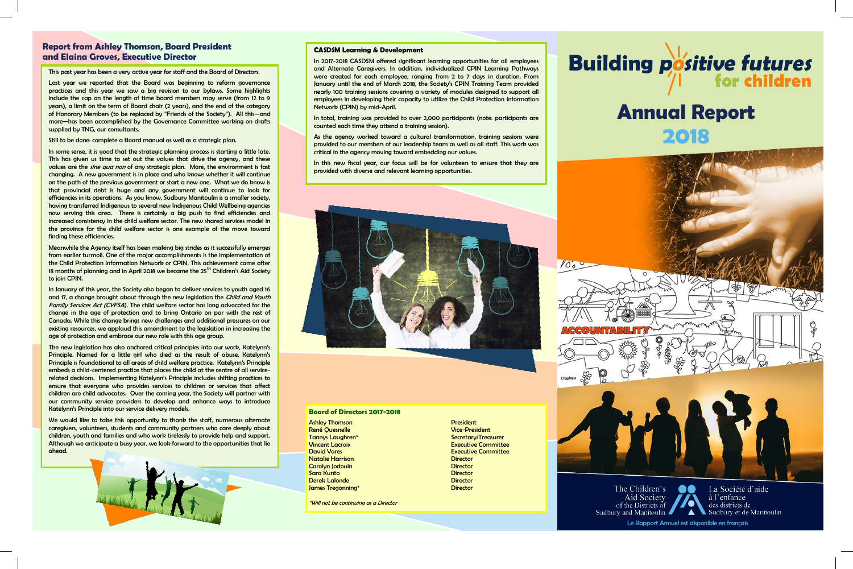## **Report from Ashley Thomson, Board President and Elaina Groves, Executive Director**

Le Rapport Annuel est disponible en français

# **Annual Report 2018**



The Children's La Société d'aide lo o Aid Society à l'enfance O of the Districts of des districts de Sudbury and Manitoulin  $\blacktriangle$ Sudbury et de Manitoulin

#### **CASDSM Learning & Development**

In 2017-2018 CASDSM offered significant learning opportunities for all employees and Alternate Caregivers. In addition, individualized CPIN Learning Pathways were created for each employee, ranging from 2 to 7 days in duration. From January until the end of March 2018, the Society's CPIN Training Team provided nearly 100 training sessions covering a variety of modules designed to support all employees in developing their capacity to utilize the Child Protection Information Network (CPIN) by mid-April.

As the agency worked toward a cultural transformation, training sessions were provided to our members of our leadership team as well as all staff. This work was critical in the agency moving toward embedding our values.

In total, training was provided to over 2,000 participants (note: participants are counted each time they attend a training session).

In this new fiscal year, our focus will be for volunteers to ensure that they are provided with diverse and relevant learning opportunities.



#### **Board of Directors 2017-2018**

**Ashley Thomson President** René Quesnelle Vice-President Tannys Laughren\* Secretary/Treasurer (Secretary Secretary Secretary Secretary Secretary Secretary Secretary Secretary Secretary Secretary Secretary Secretary Secretary Secretary Secretary Secretary Secretary Secretary Secr **Natalie Harrison Director** Director **Carolyn Jodouin Director** Director **Sara Kunto Director** Derek Lalonde Director **James Tregonning\*** Director

\*Will not be continuing as a Director

**Executive Committee David Vares Executive Committee** 

 $\sqrt{\circ}$ 



This past year has been a very active year for staff and the Board of Directors.

Last year we reported that the Board was beginning to reform governance practices and this year we saw a big revision to our bylaws. Some highlights include the cap on the length of time board members may serve (from 12 to 9 years), a limit on the term of Board chair (2 years), and the end of the category of Honorary Members (to be replaced by "Friends of the Society"). All this—and more—has been accomplished by the Governance Committee working on drafts supplied by TNG, our consultants.

#### Still to be done: complete a Board manual as well as a strategic plan.

We would like to take this opportunity to thank the staff, numerous alternate caregivers, volunteers, students and community partners who care deeply about children, youth and families and who work tirelessly to provide help and support. Although we anticipate a busy year, we look forward to the opportunities that lie ahead.



In some sense, it is good that the strategic planning process is starting a little late. This has given us time to set out the values that drive the agency, and these values are the *sine qua non* of any strategic plan. More, the environment is fast changing. A new government is in place and who knows whether it will continue on the path of the previous government or start a new one. What we do know is that provincial debt is huge and any government will continue to look for efficiencies in its operations. As you know, Sudbury Manitoulin is a smaller society, having transferred Indigenous to several new Indigenous Child Wellbeing agencies now serving this area. There is certainly a big push to find efficiencies and increased consistency in the child welfare sector. The new shared services model in the province for the child welfare sector is one example of the move toward finding these efficiencies.

Meanwhile the Agency itself has been making big strides as it successfully emerges from earlier turmoil. One of the major accomplishments is the implementation of the Child Protection Information Network or CPIN. This achievement came after 18 months of planning and in April 2018 we became the 25<sup>th</sup> Children's Aid Society to join CPIN.

In January of this year, the Society also began to deliver services to youth aged 16 and 17, a change brought about through the new legislation the *Child and Youth* Family Services Act (CYFSA). The child welfare sector has long advocated for the change in the age of protection and to bring Ontario on par with the rest of Canada. While this change brings new challenges and additional pressures on our existing resources, we applaud this amendment to the legislation in increasing the age of protection and embrace our new role with this age group.

The new legislation has also anchored critical principles into our work, Katelynn's Principle. Named for a little girl who died as the result of abuse, Katelynn's Principle is foundational to all areas of child welfare practice. Katelynn's Principle embeds a child-centered practice that places the child at the centre of all servicerelated decisions. Implementing Katelynn's Principle includes shifting practices to ensure that everyone who provides services to children or services that affect children are child advocates. Over the coming year, the Society will partner with our community service providers to develop and enhance ways to introduce Katelynn's Principle into our service delivery models.